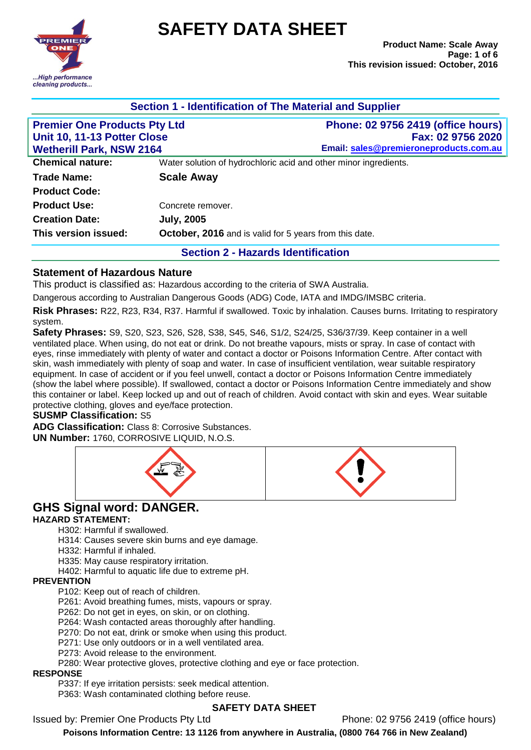

# **SAFETY DATA SHEET**

|                                                                                                       |                   | Section 1 - Identification of The Material and Supplier                                                  |
|-------------------------------------------------------------------------------------------------------|-------------------|----------------------------------------------------------------------------------------------------------|
| <b>Premier One Products Pty Ltd</b><br>Unit 10, 11-13 Potter Close<br><b>Wetherill Park, NSW 2164</b> |                   | <b>Phone: 02 9756 2419 (office hours)</b><br>Fax: 02 9756 2020<br>Email: sales@premieroneproducts.com.au |
| <b>Chemical nature:</b>                                                                               |                   | Water solution of hydrochloric acid and other minor ingredients.                                         |
| <b>Trade Name:</b>                                                                                    | <b>Scale Away</b> |                                                                                                          |
| <b>Product Code:</b>                                                                                  |                   |                                                                                                          |
| <b>Product Use:</b>                                                                                   | Concrete remover. |                                                                                                          |
| <b>Creation Date:</b>                                                                                 | <b>July, 2005</b> |                                                                                                          |
| This version issued:                                                                                  |                   | October, 2016 and is valid for 5 years from this date.                                                   |
|                                                                                                       |                   | <b>Section 2 - Hazards Identification</b>                                                                |

## **Statement of Hazardous Nature**

This product is classified as: Hazardous according to the criteria of SWA Australia.

Dangerous according to Australian Dangerous Goods (ADG) Code, IATA and IMDG/IMSBC criteria.

**Risk Phrases:** R22, R23, R34, R37. Harmful if swallowed. Toxic by inhalation. Causes burns. Irritating to respiratory system.

**Safety Phrases:** S9, S20, S23, S26, S28, S38, S45, S46, S1/2, S24/25, S36/37/39. Keep container in a well ventilated place. When using, do not eat or drink. Do not breathe vapours, mists or spray. In case of contact with eyes, rinse immediately with plenty of water and contact a doctor or Poisons Information Centre. After contact with skin, wash immediately with plenty of soap and water. In case of insufficient ventilation, wear suitable respiratory equipment. In case of accident or if you feel unwell, contact a doctor or Poisons Information Centre immediately (show the label where possible). If swallowed, contact a doctor or Poisons Information Centre immediately and show this container or label. Keep locked up and out of reach of children. Avoid contact with skin and eyes. Wear suitable protective clothing, gloves and eye/face protection.

#### **SUSMP Classification:** S5

**ADG Classification:** Class 8: Corrosive Substances. **UN Number:** 1760, CORROSIVE LIQUID, N.O.S.



# **GHS Signal word: DANGER.**

#### **HAZARD STATEMENT:**

H302: Harmful if swallowed.

- H314: Causes severe skin burns and eye damage.
- H332: Harmful if inhaled.
- H335: May cause respiratory irritation.
- H402: Harmful to aquatic life due to extreme pH.

## **PREVENTION**

- P102: Keep out of reach of children.
- P261: Avoid breathing fumes, mists, vapours or spray.
- P262: Do not get in eyes, on skin, or on clothing.
- P264: Wash contacted areas thoroughly after handling.
- P270: Do not eat, drink or smoke when using this product.
- P271: Use only outdoors or in a well ventilated area.
- P273: Avoid release to the environment.
- P280: Wear protective gloves, protective clothing and eye or face protection.

## **RESPONSE**

P337: If eye irritation persists: seek medical attention.

P363: Wash contaminated clothing before reuse.

## **SAFETY DATA SHEET**

Issued by: Premier One Products Pty Ltd Phone: 02 9756 2419 (office hours)

**Poisons Information Centre: 13 1126 from anywhere in Australia, (0800 764 766 in New Zealand)**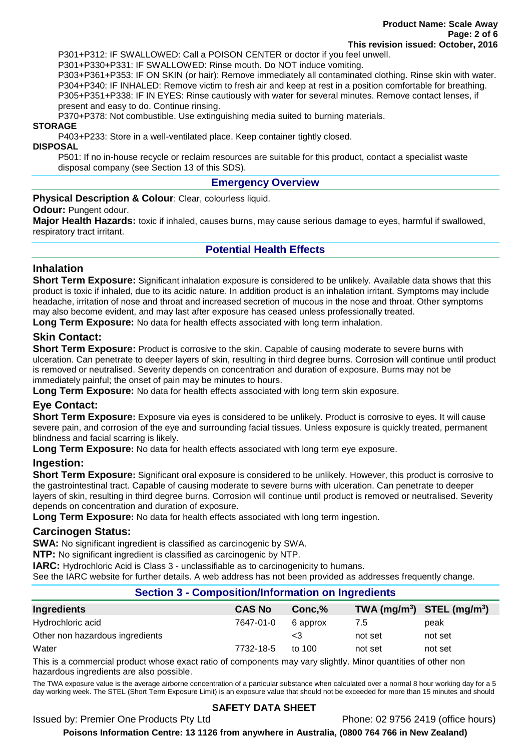P301+P312: IF SWALLOWED: Call a POISON CENTER or doctor if you feel unwell. P301+P330+P331: IF SWALLOWED: Rinse mouth. Do NOT induce vomiting.

P303+P361+P353: IF ON SKIN (or hair): Remove immediately all contaminated clothing. Rinse skin with water. P304+P340: IF INHALED: Remove victim to fresh air and keep at rest in a position comfortable for breathing. P305+P351+P338: IF IN EYES: Rinse cautiously with water for several minutes. Remove contact lenses, if present and easy to do. Continue rinsing.

P370+P378: Not combustible. Use extinguishing media suited to burning materials.

#### **STORAGE**

P403+P233: Store in a well-ventilated place. Keep container tightly closed.

#### **DISPOSAL**

P501: If no in-house recycle or reclaim resources are suitable for this product, contact a specialist waste disposal company (see Section 13 of this SDS).

## **Emergency Overview**

#### **Physical Description & Colour**: Clear, colourless liquid.

#### **Odour: Pungent odour.**

**Major Health Hazards:** toxic if inhaled, causes burns, may cause serious damage to eyes, harmful if swallowed, respiratory tract irritant.

## **Potential Health Effects**

## **Inhalation**

**Short Term Exposure:** Significant inhalation exposure is considered to be unlikely. Available data shows that this product is toxic if inhaled, due to its acidic nature. In addition product is an inhalation irritant. Symptoms may include headache, irritation of nose and throat and increased secretion of mucous in the nose and throat. Other symptoms may also become evident, and may last after exposure has ceased unless professionally treated.

**Long Term Exposure:** No data for health effects associated with long term inhalation.

## **Skin Contact:**

**Short Term Exposure:** Product is corrosive to the skin. Capable of causing moderate to severe burns with ulceration. Can penetrate to deeper layers of skin, resulting in third degree burns. Corrosion will continue until product is removed or neutralised. Severity depends on concentration and duration of exposure. Burns may not be immediately painful; the onset of pain may be minutes to hours.

**Long Term Exposure:** No data for health effects associated with long term skin exposure.

## **Eye Contact:**

**Short Term Exposure:** Exposure via eyes is considered to be unlikely. Product is corrosive to eyes. It will cause severe pain, and corrosion of the eye and surrounding facial tissues. Unless exposure is quickly treated, permanent blindness and facial scarring is likely.

**Long Term Exposure:** No data for health effects associated with long term eye exposure.

## **Ingestion:**

**Short Term Exposure:** Significant oral exposure is considered to be unlikely. However, this product is corrosive to the gastrointestinal tract. Capable of causing moderate to severe burns with ulceration. Can penetrate to deeper layers of skin, resulting in third degree burns. Corrosion will continue until product is removed or neutralised. Severity depends on concentration and duration of exposure.

**Long Term Exposure:** No data for health effects associated with long term ingestion.

## **Carcinogen Status:**

**SWA:** No significant ingredient is classified as carcinogenic by SWA.

**NTP:** No significant ingredient is classified as carcinogenic by NTP.

**IARC:** Hydrochloric Acid is Class 3 - unclassifiable as to carcinogenicity to humans.

See the IARC website for further details. A web address has not been provided as addresses frequently change.

## **Section 3 - Composition/Information on Ingredients**

| Ingredients                     | <b>CAS No</b> | Conc.%   |         | TWA $(mg/m^3)$ STEL $(mg/m^3)$ |
|---------------------------------|---------------|----------|---------|--------------------------------|
| Hydrochloric acid               | 7647-01-0     | 6 approx | 7.5     | peak                           |
| Other non hazardous ingredients |               | <3       | not set | not set                        |
| Water                           | 7732-18-5     | to 100   | not set | not set                        |
| ____                            |               |          |         |                                |

This is a commercial product whose exact ratio of components may vary slightly. Minor quantities of other non hazardous ingredients are also possible.

The TWA exposure value is the average airborne concentration of a particular substance when calculated over a normal 8 hour working day for a 5 day working week. The STEL (Short Term Exposure Limit) is an exposure value that should not be exceeded for more than 15 minutes and should

## **SAFETY DATA SHEET**

Issued by: Premier One Products Pty Ltd Phone: 02 9756 2419 (office hours)

**Poisons Information Centre: 13 1126 from anywhere in Australia, (0800 764 766 in New Zealand)**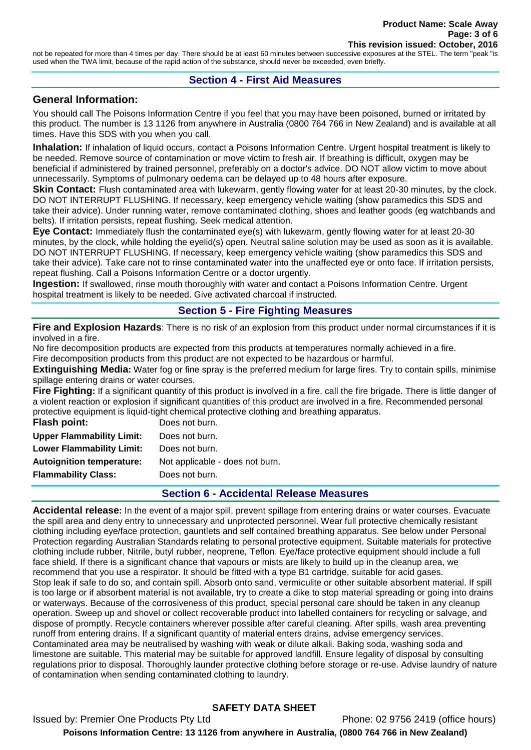not be repeated for more than 4 times per day. There should be at least 60 minutes between successive exposures at the STEL. The term "peak "is used when the TWA limit, because of the rapid action of the substance, should never be exceeded, even briefly.

#### **Section 4 - First Aid Measures**

#### **General Information:**

You should call The Poisons Information Centre if you feel that you may have been poisoned, burned or irritated by this product. The number is 13 1126 from anywhere in Australia (0800 764 766 in New Zealand) and is available at all times. Have this SDS with you when you call.

**Inhalation:** If inhalation of liquid occurs, contact a Poisons Information Centre. Urgent hospital treatment is likely to be needed. Remove source of contamination or move victim to fresh air. If breathing is difficult, oxygen may be beneficial if administered by trained personnel, preferably on a doctor's advice. DO NOT allow victim to move about unnecessarily. Symptoms of pulmonary oedema can be delayed up to 48 hours after exposure.

**Skin Contact:** Flush contaminated area with lukewarm, gently flowing water for at least 20-30 minutes, by the clock. DO NOT INTERRUPT FLUSHING. If necessary, keep emergency vehicle waiting (show paramedics this SDS and take their advice). Under running water, remove contaminated clothing, shoes and leather goods (eg watchbands and belts). If irritation persists, repeat flushing. Seek medical attention.

**Eye Contact:** Immediately flush the contaminated eye(s) with lukewarm, gently flowing water for at least 20-30 minutes, by the clock, while holding the eyelid(s) open. Neutral saline solution may be used as soon as it is available. DO NOT INTERRUPT FLUSHING. If necessary, keep emergency vehicle waiting (show paramedics this SDS and take their advice). Take care not to rinse contaminated water into the unaffected eye or onto face. If irritation persists, repeat flushing. Call a Poisons Information Centre or a doctor urgently.

**Ingestion:** If swallowed, rinse mouth thoroughly with water and contact a Poisons Information Centre. Urgent hospital treatment is likely to be needed. Give activated charcoal if instructed.

## **Section 5 - Fire Fighting Measures**

**Fire and Explosion Hazards**: There is no risk of an explosion from this product under normal circumstances if it is involved in a fire.

No fire decomposition products are expected from this products at temperatures normally achieved in a fire. Fire decomposition products from this product are not expected to be hazardous or harmful.

**Extinguishing Media:** Water fog or fine spray is the preferred medium for large fires. Try to contain spills, minimise spillage entering drains or water courses.

**Fire Fighting:** If a significant quantity of this product is involved in a fire, call the fire brigade. There is little danger of a violent reaction or explosion if significant quantities of this product are involved in a fire. Recommended personal protective equipment is liquid-tight chemical protective clothing and breathing apparatus.

| Flash point:                     | Does not burn.                  |
|----------------------------------|---------------------------------|
| <b>Upper Flammability Limit:</b> | Does not burn.                  |
| <b>Lower Flammability Limit:</b> | Does not burn.                  |
| <b>Autoignition temperature:</b> | Not applicable - does not burn. |
| <b>Flammability Class:</b>       | Does not burn.                  |
|                                  |                                 |

## **Section 6 - Accidental Release Measures**

**Accidental release:** In the event of a major spill, prevent spillage from entering drains or water courses. Evacuate the spill area and deny entry to unnecessary and unprotected personnel. Wear full protective chemically resistant clothing including eye/face protection, gauntlets and self contained breathing apparatus. See below under Personal Protection regarding Australian Standards relating to personal protective equipment. Suitable materials for protective clothing include rubber, Nitrile, butyl rubber, neoprene, Teflon. Eye/face protective equipment should include a full face shield. If there is a significant chance that vapours or mists are likely to build up in the cleanup area, we recommend that you use a respirator. It should be fitted with a type B1 cartridge, suitable for acid gases. Stop leak if safe to do so, and contain spill. Absorb onto sand, vermiculite or other suitable absorbent material. If spill is too large or if absorbent material is not available, try to create a dike to stop material spreading or going into drains or waterways. Because of the corrosiveness of this product, special personal care should be taken in any cleanup operation. Sweep up and shovel or collect recoverable product into labelled containers for recycling or salvage, and dispose of promptly. Recycle containers wherever possible after careful cleaning. After spills, wash area preventing runoff from entering drains. If a significant quantity of material enters drains, advise emergency services. Contaminated area may be neutralised by washing with weak or dilute alkali. Baking soda, washing soda and limestone are suitable. This material may be suitable for approved landfill. Ensure legality of disposal by consulting regulations prior to disposal. Thoroughly launder protective clothing before storage or re-use. Advise laundry of nature of contamination when sending contaminated clothing to laundry.

## **SAFETY DATA SHEET**

Issued by: Premier One Products Pty Ltd Phone: 02 9756 2419 (office hours) **Poisons Information Centre: 13 1126 from anywhere in Australia, (0800 764 766 in New Zealand)**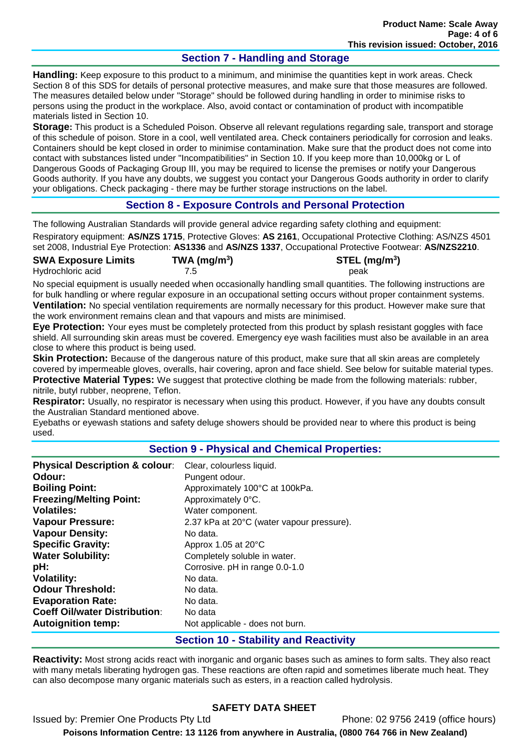## **Section 7 - Handling and Storage**

**Handling:** Keep exposure to this product to a minimum, and minimise the quantities kept in work areas. Check Section 8 of this SDS for details of personal protective measures, and make sure that those measures are followed. The measures detailed below under "Storage" should be followed during handling in order to minimise risks to persons using the product in the workplace. Also, avoid contact or contamination of product with incompatible materials listed in Section 10.

**Storage:** This product is a Scheduled Poison. Observe all relevant regulations regarding sale, transport and storage of this schedule of poison. Store in a cool, well ventilated area. Check containers periodically for corrosion and leaks. Containers should be kept closed in order to minimise contamination. Make sure that the product does not come into contact with substances listed under "Incompatibilities" in Section 10. If you keep more than 10,000kg or L of Dangerous Goods of Packaging Group III, you may be required to license the premises or notify your Dangerous Goods authority. If you have any doubts, we suggest you contact your Dangerous Goods authority in order to clarify your obligations. Check packaging - there may be further storage instructions on the label.

## **Section 8 - Exposure Controls and Personal Protection**

The following Australian Standards will provide general advice regarding safety clothing and equipment:

Respiratory equipment: **AS/NZS 1715**, Protective Gloves: **AS 2161**, Occupational Protective Clothing: AS/NZS 4501 set 2008, Industrial Eye Protection: **AS1336** and **AS/NZS 1337**, Occupational Protective Footwear: **AS/NZS2210**.

| <b>SWA Exposure Limits</b> | $TWA$ (mg/m <sup>3</sup> ) | STEL (I |
|----------------------------|----------------------------|---------|
| Hydrochloric acid          |                            | peak    |

**) STEL (mg/m<sup>3</sup> )**

No special equipment is usually needed when occasionally handling small quantities. The following instructions are for bulk handling or where regular exposure in an occupational setting occurs without proper containment systems. **Ventilation:** No special ventilation requirements are normally necessary for this product. However make sure that the work environment remains clean and that vapours and mists are minimised.

**Eye Protection:** Your eyes must be completely protected from this product by splash resistant goggles with face shield. All surrounding skin areas must be covered. Emergency eye wash facilities must also be available in an area close to where this product is being used.

**Skin Protection:** Because of the dangerous nature of this product, make sure that all skin areas are completely covered by impermeable gloves, overalls, hair covering, apron and face shield. See below for suitable material types. **Protective Material Types:** We suggest that protective clothing be made from the following materials: rubber, nitrile, butyl rubber, neoprene, Teflon.

**Respirator:** Usually, no respirator is necessary when using this product. However, if you have any doubts consult the Australian Standard mentioned above.

Eyebaths or eyewash stations and safety deluge showers should be provided near to where this product is being used.

## **Section 9 - Physical and Chemical Properties:**

| <b>Physical Description &amp; colour:</b> | Clear, colourless liquid.                 |
|-------------------------------------------|-------------------------------------------|
| Odour:                                    | Pungent odour.                            |
| <b>Boiling Point:</b>                     | Approximately 100°C at 100kPa.            |
| <b>Freezing/Melting Point:</b>            | Approximately 0°C.                        |
| <b>Volatiles:</b>                         | Water component.                          |
| <b>Vapour Pressure:</b>                   | 2.37 kPa at 20°C (water vapour pressure). |
| <b>Vapour Density:</b>                    | No data.                                  |
| <b>Specific Gravity:</b>                  | Approx 1.05 at 20°C                       |
| <b>Water Solubility:</b>                  | Completely soluble in water.              |
| pH:                                       | Corrosive. pH in range 0.0-1.0            |
| <b>Volatility:</b>                        | No data.                                  |
| <b>Odour Threshold:</b>                   | No data.                                  |
| <b>Evaporation Rate:</b>                  | No data.                                  |
| <b>Coeff Oil/water Distribution:</b>      | No data                                   |
| <b>Autoignition temp:</b>                 | Not applicable - does not burn.           |

## **Section 10 - Stability and Reactivity**

**Reactivity:** Most strong acids react with inorganic and organic bases such as amines to form salts. They also react with many metals liberating hydrogen gas. These reactions are often rapid and sometimes liberate much heat. They can also decompose many organic materials such as esters, in a reaction called hydrolysis.

# **SAFETY DATA SHEET**

Issued by: Premier One Products Pty Ltd Phone: 02 9756 2419 (office hours) **Poisons Information Centre: 13 1126 from anywhere in Australia, (0800 764 766 in New Zealand)**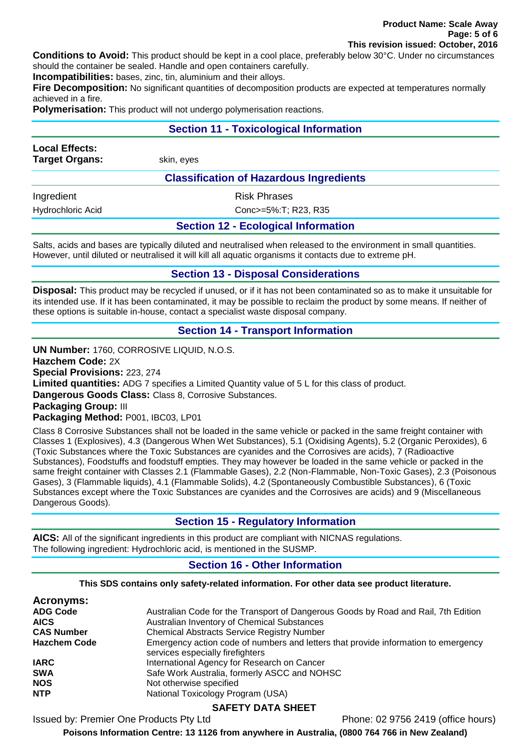**Conditions to Avoid:** This product should be kept in a cool place, preferably below 30°C. Under no circumstances should the container be sealed. Handle and open containers carefully.

**Incompatibilities:** bases, zinc, tin, aluminium and their alloys.

**Fire Decomposition:** No significant quantities of decomposition products are expected at temperatures normally achieved in a fire.

**Polymerisation:** This product will not undergo polymerisation reactions.

#### **Section 11 - Toxicological Information**

| <b>Local Effects:</b><br><b>Target Organs:</b> | skin, eyes                                     |  |
|------------------------------------------------|------------------------------------------------|--|
|                                                | <b>Classification of Hazardous Ingredients</b> |  |
| Ingredient                                     | <b>Risk Phrases</b>                            |  |
| <b>Hydrochloric Acid</b>                       | Conc>=5%:T; R23, R35                           |  |

## **Section 12 - Ecological Information**

Salts, acids and bases are typically diluted and neutralised when released to the environment in small quantities. However, until diluted or neutralised it will kill all aquatic organisms it contacts due to extreme pH.

## **Section 13 - Disposal Considerations**

**Disposal:** This product may be recycled if unused, or if it has not been contaminated so as to make it unsuitable for its intended use. If it has been contaminated, it may be possible to reclaim the product by some means. If neither of these options is suitable in-house, contact a specialist waste disposal company.

## **Section 14 - Transport Information**

**UN Number:** 1760, CORROSIVE LIQUID, N.O.S.

**Hazchem Code:** 2X

**Special Provisions:** 223, 274

**Limited quantities:** ADG 7 specifies a Limited Quantity value of 5 L for this class of product.

**Dangerous Goods Class:** Class 8, Corrosive Substances.

**Packaging Group:** III

#### **Packaging Method:** P001, IBC03, LP01

Class 8 Corrosive Substances shall not be loaded in the same vehicle or packed in the same freight container with Classes 1 (Explosives), 4.3 (Dangerous When Wet Substances), 5.1 (Oxidising Agents), 5.2 (Organic Peroxides), 6 (Toxic Substances where the Toxic Substances are cyanides and the Corrosives are acids), 7 (Radioactive Substances), Foodstuffs and foodstuff empties. They may however be loaded in the same vehicle or packed in the same freight container with Classes 2.1 (Flammable Gases), 2.2 (Non-Flammable, Non-Toxic Gases), 2.3 (Poisonous Gases), 3 (Flammable liquids), 4.1 (Flammable Solids), 4.2 (Spontaneously Combustible Substances), 6 (Toxic Substances except where the Toxic Substances are cyanides and the Corrosives are acids) and 9 (Miscellaneous Dangerous Goods).

## **Section 15 - Regulatory Information**

**AICS:** All of the significant ingredients in this product are compliant with NICNAS regulations. The following ingredient: Hydrochloric acid, is mentioned in the SUSMP.

## **Section 16 - Other Information**

**This SDS contains only safety-related information. For other data see product literature.**

| Acronyms:           |                                                                                    |
|---------------------|------------------------------------------------------------------------------------|
| <b>ADG Code</b>     | Australian Code for the Transport of Dangerous Goods by Road and Rail, 7th Edition |
| <b>AICS</b>         | Australian Inventory of Chemical Substances                                        |
| <b>CAS Number</b>   | <b>Chemical Abstracts Service Registry Number</b>                                  |
| <b>Hazchem Code</b> | Emergency action code of numbers and letters that provide information to emergency |
|                     | services especially firefighters                                                   |
| <b>IARC</b>         | International Agency for Research on Cancer                                        |
| <b>SWA</b>          | Safe Work Australia, formerly ASCC and NOHSC                                       |
| <b>NOS</b>          | Not otherwise specified                                                            |
| <b>NTP</b>          | National Toxicology Program (USA)                                                  |

## **SAFETY DATA SHEET**

Issued by: Premier One Products Pty Ltd Phone: 02 9756 2419 (office hours)

**Poisons Information Centre: 13 1126 from anywhere in Australia, (0800 764 766 in New Zealand)**